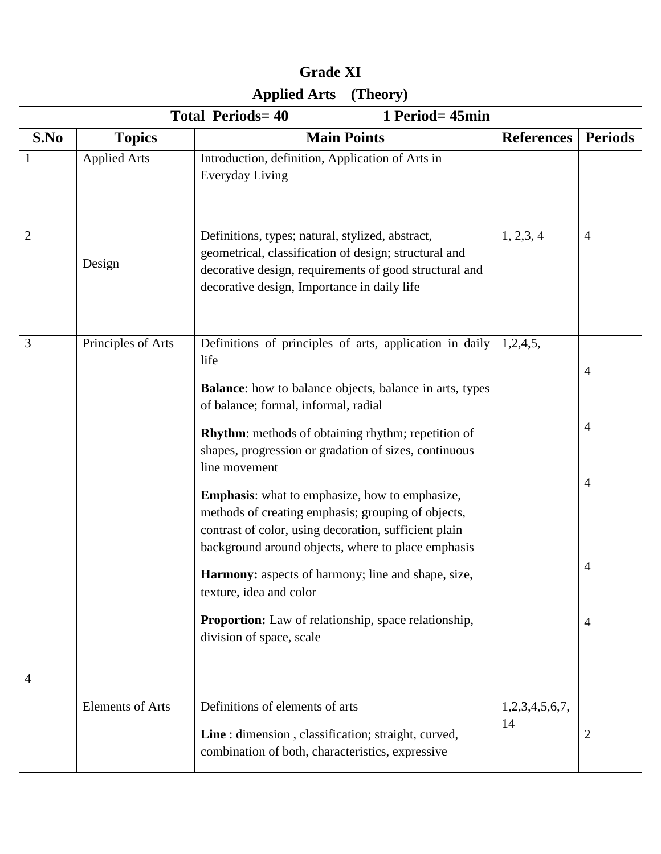| <b>Grade XI</b>                            |                         |                                                                                                                                                                                                                                                                                                                                                                                                                                                                                                                                                                                                                                                                                                                             |                      |                                                                                        |  |
|--------------------------------------------|-------------------------|-----------------------------------------------------------------------------------------------------------------------------------------------------------------------------------------------------------------------------------------------------------------------------------------------------------------------------------------------------------------------------------------------------------------------------------------------------------------------------------------------------------------------------------------------------------------------------------------------------------------------------------------------------------------------------------------------------------------------------|----------------------|----------------------------------------------------------------------------------------|--|
| <b>Applied Arts</b><br>(Theory)            |                         |                                                                                                                                                                                                                                                                                                                                                                                                                                                                                                                                                                                                                                                                                                                             |                      |                                                                                        |  |
| <b>Total Periods=40</b><br>1 Period= 45min |                         |                                                                                                                                                                                                                                                                                                                                                                                                                                                                                                                                                                                                                                                                                                                             |                      |                                                                                        |  |
| S.No                                       | <b>Topics</b>           | <b>Main Points</b>                                                                                                                                                                                                                                                                                                                                                                                                                                                                                                                                                                                                                                                                                                          | <b>References</b>    | <b>Periods</b>                                                                         |  |
|                                            | <b>Applied Arts</b>     | Introduction, definition, Application of Arts in<br>Everyday Living                                                                                                                                                                                                                                                                                                                                                                                                                                                                                                                                                                                                                                                         |                      |                                                                                        |  |
| $\overline{2}$                             | Design                  | Definitions, types; natural, stylized, abstract,<br>geometrical, classification of design; structural and<br>decorative design, requirements of good structural and<br>decorative design, Importance in daily life                                                                                                                                                                                                                                                                                                                                                                                                                                                                                                          | 1, 2, 3, 4           | $\overline{4}$                                                                         |  |
| 3                                          | Principles of Arts      | Definitions of principles of arts, application in daily<br>life<br><b>Balance</b> : how to balance objects, balance in arts, types<br>of balance; formal, informal, radial<br><b>Rhythm:</b> methods of obtaining rhythm; repetition of<br>shapes, progression or gradation of sizes, continuous<br>line movement<br><b>Emphasis:</b> what to emphasize, how to emphasize,<br>methods of creating emphasis; grouping of objects,<br>contrast of color, using decoration, sufficient plain<br>background around objects, where to place emphasis<br>Harmony: aspects of harmony; line and shape, size,<br>texture, idea and color<br><b>Proportion:</b> Law of relationship, space relationship,<br>division of space, scale | 1,2,4,5,             | $\overline{4}$<br>$\overline{4}$<br>$\overline{4}$<br>$\overline{4}$<br>$\overline{4}$ |  |
| 4                                          | <b>Elements of Arts</b> | Definitions of elements of arts<br>Line : dimension, classification; straight, curved,<br>combination of both, characteristics, expressive                                                                                                                                                                                                                                                                                                                                                                                                                                                                                                                                                                                  | 1,2,3,4,5,6,7,<br>14 | $\overline{2}$                                                                         |  |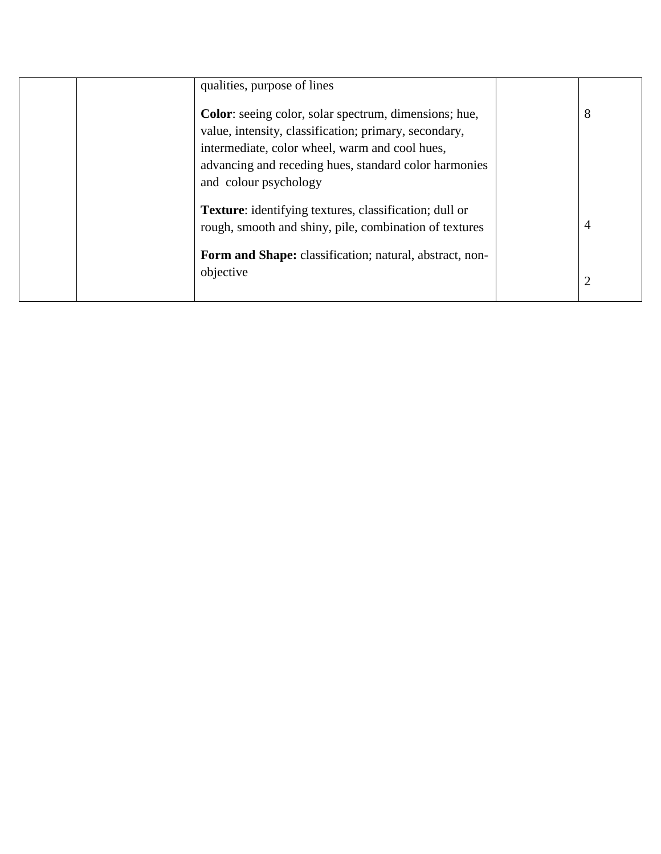| qualities, purpose of lines                                                                                                                                                                                                                                |                |  |
|------------------------------------------------------------------------------------------------------------------------------------------------------------------------------------------------------------------------------------------------------------|----------------|--|
| <b>Color</b> : seeing color, solar spectrum, dimensions; hue,<br>value, intensity, classification; primary, secondary,<br>intermediate, color wheel, warm and cool hues,<br>advancing and receding hues, standard color harmonies<br>and colour psychology | 8              |  |
| <b>Texture:</b> identifying textures, classification; dull or<br>rough, smooth and shiny, pile, combination of textures                                                                                                                                    | 4              |  |
| Form and Shape: classification; natural, abstract, non-<br>objective                                                                                                                                                                                       | $\overline{2}$ |  |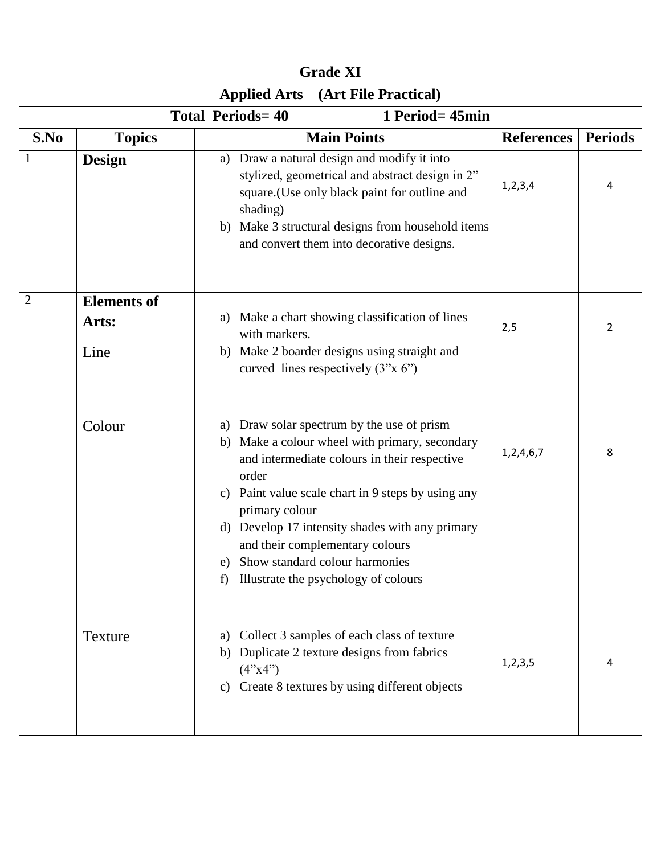| <b>Grade XI</b> |                                             |                                                             |                                                                                                                                                                                                                                                                                                                                                        |                   |                |  |
|-----------------|---------------------------------------------|-------------------------------------------------------------|--------------------------------------------------------------------------------------------------------------------------------------------------------------------------------------------------------------------------------------------------------------------------------------------------------------------------------------------------------|-------------------|----------------|--|
|                 | (Art File Practical)<br><b>Applied Arts</b> |                                                             |                                                                                                                                                                                                                                                                                                                                                        |                   |                |  |
|                 |                                             | <b>Total Periods=40</b>                                     | 1 Period= 45min                                                                                                                                                                                                                                                                                                                                        |                   |                |  |
| S.No            | <b>Topics</b>                               |                                                             | <b>Main Points</b>                                                                                                                                                                                                                                                                                                                                     | <b>References</b> | <b>Periods</b> |  |
|                 | <b>Design</b>                               | a)<br>shading)<br>b)                                        | Draw a natural design and modify it into<br>stylized, geometrical and abstract design in 2"<br>square.(Use only black paint for outline and<br>Make 3 structural designs from household items<br>and convert them into decorative designs.                                                                                                             | 1, 2, 3, 4        | 4              |  |
| $\overline{2}$  | <b>Elements of</b>                          |                                                             |                                                                                                                                                                                                                                                                                                                                                        |                   |                |  |
|                 | Arts:                                       | a)<br>with markers.                                         | Make a chart showing classification of lines                                                                                                                                                                                                                                                                                                           | 2,5               | 2              |  |
|                 | Line                                        | b)                                                          | Make 2 boarder designs using straight and<br>curved lines respectively $(3''x 6'')$                                                                                                                                                                                                                                                                    |                   |                |  |
|                 | Colour                                      | a)<br>b)<br>order<br>c)<br>primary colour<br>d)<br>e)<br>f) | Draw solar spectrum by the use of prism<br>Make a colour wheel with primary, secondary<br>and intermediate colours in their respective<br>Paint value scale chart in 9 steps by using any<br>Develop 17 intensity shades with any primary<br>and their complementary colours<br>Show standard colour harmonies<br>Illustrate the psychology of colours | 1,2,4,6,7         | 8              |  |
|                 | Texture                                     | a)<br>b)<br>(4"x4")                                         | Collect 3 samples of each class of texture<br>Duplicate 2 texture designs from fabrics<br>c) Create 8 textures by using different objects                                                                                                                                                                                                              | 1, 2, 3, 5        | 4              |  |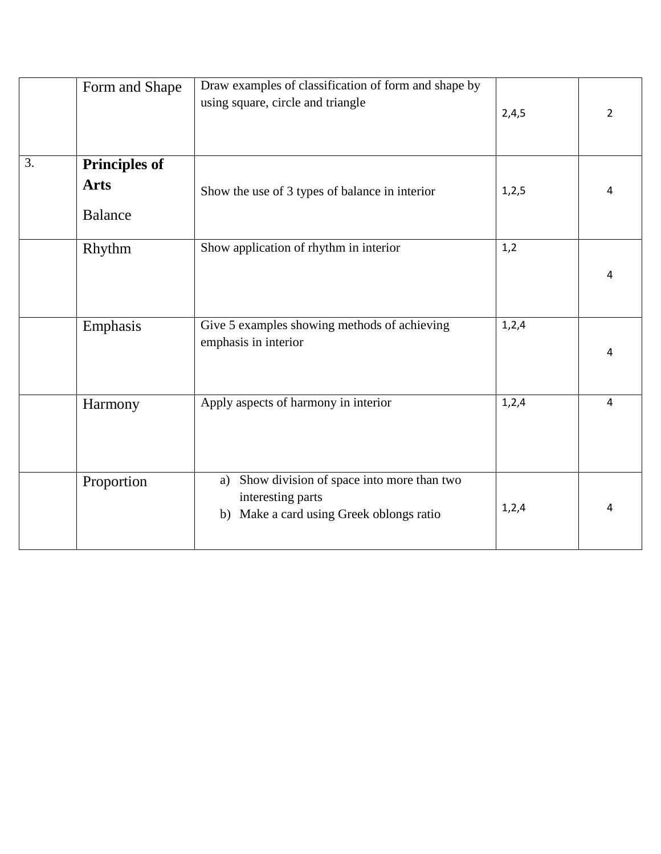|    | Form and Shape                                        | Draw examples of classification of form and shape by<br>using square, circle and triangle                        | 2,4,5 | 2 |
|----|-------------------------------------------------------|------------------------------------------------------------------------------------------------------------------|-------|---|
| 3. | <b>Principles of</b><br><b>Arts</b><br><b>Balance</b> | Show the use of 3 types of balance in interior                                                                   | 1,2,5 | 4 |
|    | Rhythm                                                | Show application of rhythm in interior                                                                           | 1,2   | 4 |
|    | Emphasis                                              | Give 5 examples showing methods of achieving<br>emphasis in interior                                             | 1,2,4 | 4 |
|    | Harmony                                               | Apply aspects of harmony in interior                                                                             | 1,2,4 | 4 |
|    | Proportion                                            | Show division of space into more than two<br>a)<br>interesting parts<br>b) Make a card using Greek oblongs ratio | 1,2,4 | 4 |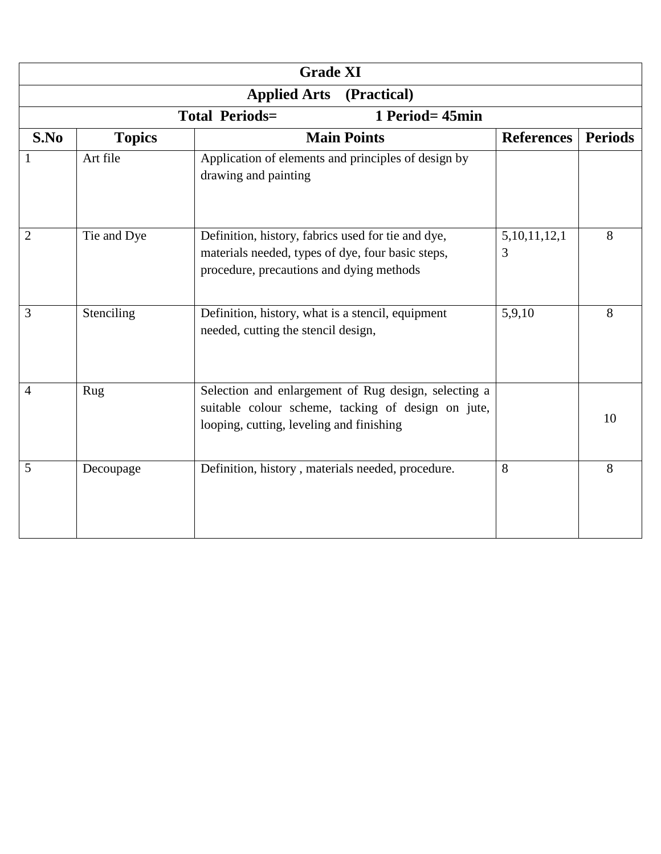| <b>Grade XI</b>                    |               |                                                                                                                                                        |                   |                |  |
|------------------------------------|---------------|--------------------------------------------------------------------------------------------------------------------------------------------------------|-------------------|----------------|--|
| <b>Applied Arts</b><br>(Practical) |               |                                                                                                                                                        |                   |                |  |
|                                    |               | <b>Total Periods=</b><br>1 Period= 45min                                                                                                               |                   |                |  |
| S.No                               | <b>Topics</b> | <b>Main Points</b>                                                                                                                                     | <b>References</b> | <b>Periods</b> |  |
|                                    | Art file      | Application of elements and principles of design by<br>drawing and painting                                                                            |                   |                |  |
| $\overline{2}$                     | Tie and Dye   | Definition, history, fabrics used for tie and dye,<br>materials needed, types of dye, four basic steps,<br>procedure, precautions and dying methods    | 5,10,11,12,1<br>3 | 8              |  |
| 3                                  | Stenciling    | Definition, history, what is a stencil, equipment<br>needed, cutting the stencil design,                                                               | 5,9,10            | 8              |  |
| $\overline{4}$                     | Rug           | Selection and enlargement of Rug design, selecting a<br>suitable colour scheme, tacking of design on jute,<br>looping, cutting, leveling and finishing |                   | 10             |  |
| 5                                  | Decoupage     | Definition, history, materials needed, procedure.                                                                                                      | 8                 | 8              |  |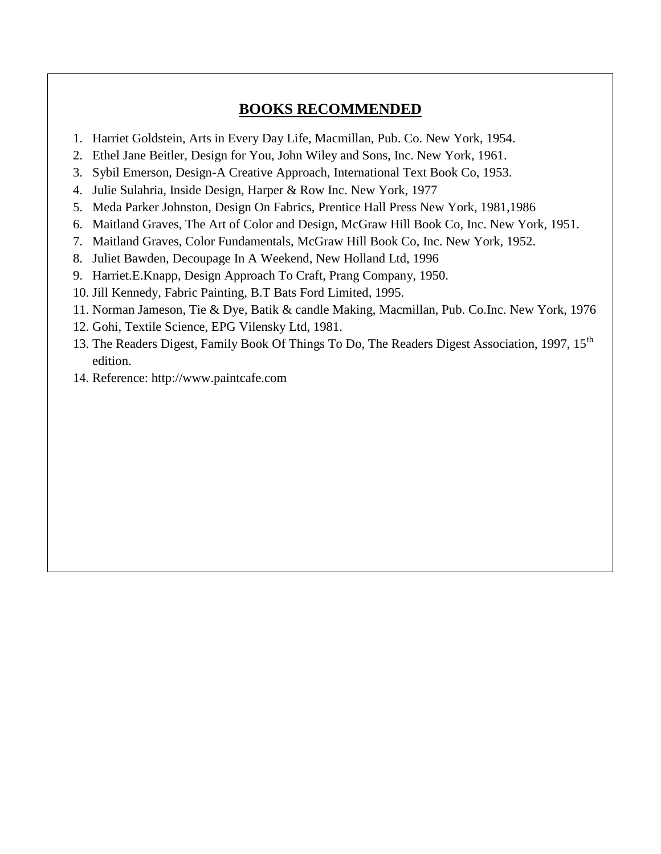## **BOOKS RECOMMENDED**

- 1. Harriet Goldstein, Arts in Every Day Life, Macmillan, Pub. Co. New York, 1954.
- 2. Ethel Jane Beitler, Design for You, John Wiley and Sons, Inc. New York, 1961.
- 3. Sybil Emerson, Design-A Creative Approach, International Text Book Co, 1953.
- 4. Julie Sulahria, Inside Design, Harper & Row Inc. New York, 1977
- 5. Meda Parker Johnston, Design On Fabrics, Prentice Hall Press New York, 1981,1986
- 6. Maitland Graves, The Art of Color and Design, McGraw Hill Book Co, Inc. New York, 1951.
- 7. Maitland Graves, Color Fundamentals, McGraw Hill Book Co, Inc. New York, 1952.
- 8. Juliet Bawden, Decoupage In A Weekend, New Holland Ltd, 1996
- 9. Harriet.E.Knapp, Design Approach To Craft, Prang Company, 1950.
- 10. Jill Kennedy, Fabric Painting, B.T Bats Ford Limited, 1995.
- 11. Norman Jameson, Tie & Dye, Batik & candle Making, Macmillan, Pub. Co.Inc. New York, 1976
- 12. Gohi, Textile Science, EPG Vilensky Ltd, 1981.
- 13. The Readers Digest, Family Book Of Things To Do, The Readers Digest Association, 1997, 15<sup>th</sup> edition.
- 14. Reference: http://www.paintcafe.com